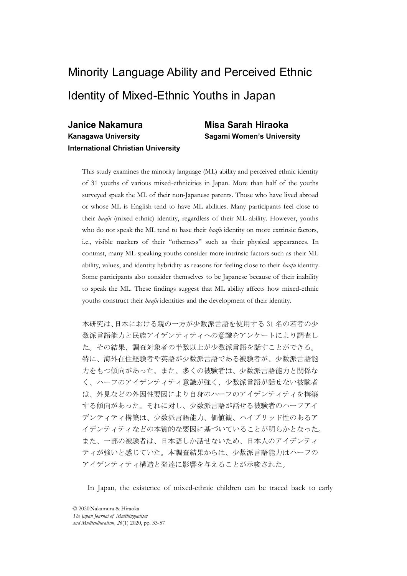# Minority Language Ability and Perceived Ethnic Identity of Mixed-Ethnic Youths in Japan

### Janice Nakamura Misa Sarah Hiraoka Kanagawa University Sagami Women's University International Christian University

This study examines the minority language (ML) ability and perceived ethnic identity of 31 youths of various mixed-ethnicities in Japan. More than half of the youths surveyed speak the ML of their non-Japanese parents. Those who have lived abroad or whose ML is English tend to have ML abilities. Many participants feel close to their haafu (mixed-ethnic) identity, regardless of their ML ability. However, youths who do not speak the ML tend to base their *haafu* identity on more extrinsic factors, i.e., visible markers of their "otherness" such as their physical appearances. In contrast, many ML-speaking youths consider more intrinsic factors such as their ML ability, values, and identity hybridity as reasons for feeling close to their haafu identity. Some participants also consider themselves to be Japanese because of their inability to speak the ML. These findings suggest that ML ability affects how mixed-ethnic youths construct their *haafu* identities and the development of their identity.

に。ての転来、神社の参和の一般以上が、ない自由である被験者が、少数派官部能・これ、後に、海外企業部が参考を考え、少数派官部が基部官事が、少数派官部制度、シープのアイデンティティ意識が強く、少数派官部が基世力と被称され、ハーフのアイデンティティを構築して、ハーフのアイデンティティ意識が強く、少数派言部部部せない被験者は、外見などの外因性要因により自身のハーフのアイデンティティを構築する傾向があった。それに対し、少数派言語が語せる被験者のハ 本研究は、日本における親の一方が少数派言語を使用する 31 名の若者の少 数派言語能力と民族アイデンティティへの意識をアンケートにより調査し た。その結果、調査対象者の半数以上が少数派言語を話すことができる。 特に、海外在住経験者や英語が少数派言語である被験者が、少数派言語能 力をもつ傾向があった。また、多くの被験者は、少数派言語能力と関係な く、ハーフのアイデンティティ意識が強く、少数派言語が話せない被験者 は、外見などの外因性要因により自身のハーフのアイデンティティを構築 する傾向があった。それに対し、少数派言語が話せる被験者のハーフアイ デンティティ構築は、少数派言語能力、価値観、ハイブリッド性のあるア イデンティティなどの本質的な要因に基づいていることが明らかとなった。 また、一部の被験者は、日本語しか話せないため、日本人のアイデンティ ティが強いと感じていた。本調査結果からは、少数派言語能力はハーフの アイデンティティ構造と発達に影響を与えることが示唆された。

In Japan, the existence of mixed-ethnic children can be traced back to early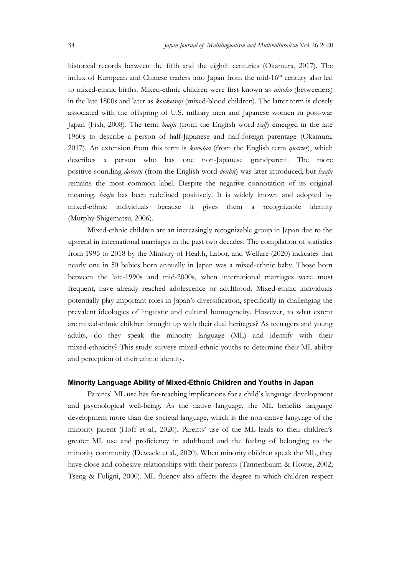Japan Journal of Multilingualism and Multivulturalism Vol 26 2020<br>
historical records between the fifth and the eighth centuries (Okamura, 2017). The<br>
influx of European and Chinese traders into Japan from the mid-16<sup>th</sup> c historical records between the fifth and the eighth centuries (Okamura, 2017). The influx of European and Chinese traders into Japan from the mid- $16<sup>th</sup>$  century also led to mixed-ethnic births. Mixed-ethnic children were first known as ainoko (betweeners) in the late 1800s and later as konketsuji (mixed-blood children). The latter term is closely associated with the offspring of U.S. military men and Japanese women in post-war Japan (Fish, 2008). The term *haafu* (from the English word *half*) emerged in the late 1960s to describe a person of half-Japanese and half-foreign parentage (Okamura, 2017). An extension from this term is *kuootaa* (from the English term *quarter*), which describes a person who has one non-Japanese grandparent. The more positive-sounding *daburu* (from the English word *double*) was later introduced, but *haafu* remains the most common label. Despite the negative connotation of its original meaning, *haafu* has been redefined positively. It is widely known and adopted by mixed-ethnic individuals because it gives them a recognizable identity (Murphy-Shigematsu, 2006).

Mixed-ethnic children are an increasingly recognizable group in Japan due to the uptrend in international marriages in the past two decades. The compilation of statistics from 1995 to 2018 by the Ministry of Health, Labor, and Welfare (2020) indicates that nearly one in 50 babies born annually in Japan was a mixed-ethnic baby. Those born between the late-1990s and mid-2000s, when international marriages were most frequent, have already reached adolescence or adulthood. Mixed-ethnic individuals potentially play important roles in Japan's diversification, specifically in challenging the prevalent ideologies of linguistic and cultural homogeneity. However, to what extent are mixed-ethnic children brought up with their dual heritages? As teenagers and young adults, do they speak the minority language (ML) and identify with their mixed-ethnicity? This study surveys mixed-ethnic youths to determine their ML ability and perception of their ethnic identity.

### Minority Language Ability of Mixed-Ethnic Children and Youths in Japan

Parents' ML use has far-reaching implications for a child's language development and psychological well-being. As the native language, the ML benefits language development more than the societal language, which is the non-native language of the minority parent (Hoff et al., 2020). Parents' use of the ML leads to their children's greater ML use and proficiency in adulthood and the feeling of belonging to the minority community (Dewaele et al., 2020). When minority children speak the ML, they have close and cohesive relationships with their parents (Tannenbaum & Howie, 2002; Tseng & Fuligni, 2000). ML fluency also affects the degree to which children respect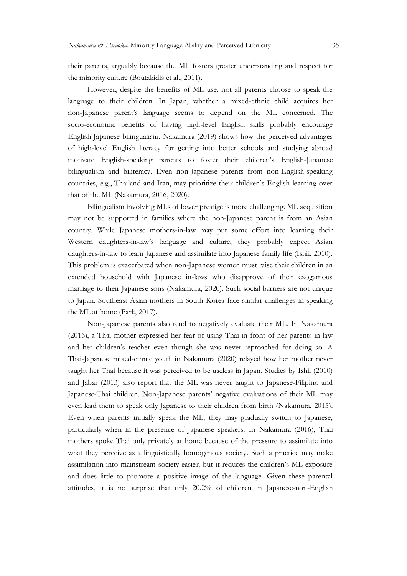their parents, arguably because the ML fosters greater understanding and respect for the minority culture (Boutakidis et al., 2011).

However, despite the benefits of ML use, not all parents choose to speak the language to their children. In Japan, whether a mixed-ethnic child acquires her non-Japanese parent's language seems to depend on the ML concerned. The socio-economic benefits of having high-level English skills probably encourage English-Japanese bilingualism. Nakamura (2019) shows how the perceived advantages of high-level English literacy for getting into better schools and studying abroad motivate English-speaking parents to foster their children's English-Japanese bilingualism and biliteracy. Even non-Japanese parents from non-English-speaking countries, e.g., Thailand and Iran, may prioritize their children's English learning over that of the ML (Nakamura, 2016, 2020).

Bilingualism involving MLs of lower prestige is more challenging. ML acquisition may not be supported in families where the non-Japanese parent is from an Asian country. While Japanese mothers-in-law may put some effort into learning their Western daughters-in-law's language and culture, they probably expect Asian daughters-in-law to learn Japanese and assimilate into Japanese family life (Ishii, 2010). This problem is exacerbated when non-Japanese women must raise their children in an extended household with Japanese in-laws who disapprove of their exogamous marriage to their Japanese sons (Nakamura, 2020). Such social barriers are not unique to Japan. Southeast Asian mothers in South Korea face similar challenges in speaking the ML at home (Park, 2017).

Non-Japanese parents also tend to negatively evaluate their ML. In Nakamura (2016), a Thai mother expressed her fear of using Thai in front of her parents-in-law and her children's teacher even though she was never reproached for doing so. A Thai-Japanese mixed-ethnic youth in Nakamura (2020) relayed how her mother never taught her Thai because it was perceived to be useless in Japan. Studies by Ishii (2010) and Jabar (2013) also report that the ML was never taught to Japanese-Filipino and Japanese-Thai children. Non-Japanese parents' negative evaluations of their ML may even lead them to speak only Japanese to their children from birth (Nakamura, 2015). Even when parents initially speak the ML, they may gradually switch to Japanese, particularly when in the presence of Japanese speakers. In Nakamura (2016), Thai mothers spoke Thai only privately at home because of the pressure to assimilate into what they perceive as a linguistically homogenous society. Such a practice may make assimilation into mainstream society easier, but it reduces the children's ML exposure and does little to promote a positive image of the language. Given these parental attitudes, it is no surprise that only 20.2% of children in Japanese-non-English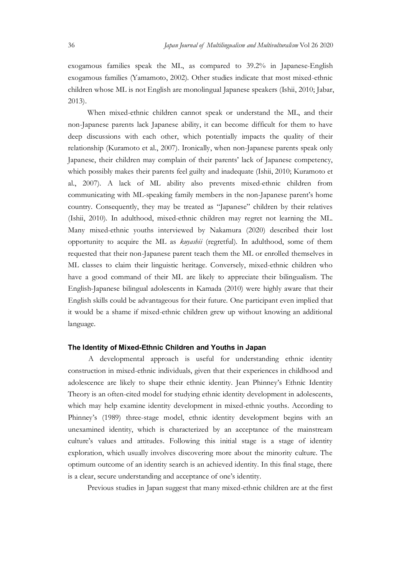Japan Journal of Multilingualism and Multivulturalism Vol 26 2020<br>exogamous families speak the ML, as compared to 39.2% in Japanese-English<br>exogamous families (Yamamoto, 2002). Other studies indicate that most mixed-ethnic exogamous families speak the ML, as compared to 39.2% in Japanese-English exogamous families (Yamamoto, 2002). Other studies indicate that most mixed-ethnic children whose ML is not English are monolingual Japanese speakers (Ishii, 2010; Jabar, 2013).

When mixed-ethnic children cannot speak or understand the ML, and their non-Japanese parents lack Japanese ability, it can become difficult for them to have deep discussions with each other, which potentially impacts the quality of their relationship (Kuramoto et al., 2007). Ironically, when non-Japanese parents speak only Japanese, their children may complain of their parents' lack of Japanese competency, which possibly makes their parents feel guilty and inadequate (Ishii, 2010; Kuramoto et al., 2007). A lack of ML ability also prevents mixed-ethnic children from communicating with ML-speaking family members in the non-Japanese parent's home country. Consequently, they may be treated as "Japanese" children by their relatives (Ishii, 2010). In adulthood, mixed-ethnic children may regret not learning the ML. Many mixed-ethnic youths interviewed by Nakamura (2020) described their lost opportunity to acquire the ML as kuyashii (regretful). In adulthood, some of them requested that their non-Japanese parent teach them the ML or enrolled themselves in ML classes to claim their linguistic heritage. Conversely, mixed-ethnic children who have a good command of their ML are likely to appreciate their bilingualism. The English-Japanese bilingual adolescents in Kamada (2010) were highly aware that their English skills could be advantageous for their future. One participant even implied that it would be a shame if mixed-ethnic children grew up without knowing an additional language.

### The Identity of Mixed-Ethnic Children and Youths in Japan

A developmental approach is useful for understanding ethnic identity construction in mixed-ethnic individuals, given that their experiences in childhood and adolescence are likely to shape their ethnic identity. Jean Phinney's Ethnic Identity Theory is an often-cited model for studying ethnic identity development in adolescents, which may help examine identity development in mixed-ethnic youths. According to Phinney's (1989) three-stage model, ethnic identity development begins with an unexamined identity, which is characterized by an acceptance of the mainstream culture's values and attitudes. Following this initial stage is a stage of identity exploration, which usually involves discovering more about the minority culture. The optimum outcome of an identity search is an achieved identity. In this final stage, there is a clear, secure understanding and acceptance of one's identity.

Previous studies in Japan suggest that many mixed-ethnic children are at the first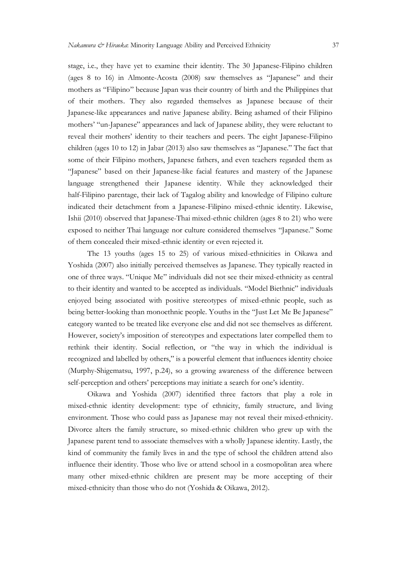stage, i.e., they have yet to examine their identity. The 30 Japanese-Filipino children (ages 8 to 16) in Almonte-Acosta (2008) saw themselves as "Japanese" and their mothers as "Filipino" because Japan was their country of birth and the Philippines that of their mothers. They also regarded themselves as Japanese because of their Japanese-like appearances and native Japanese ability. Being ashamed of their Filipino mothers' "un-Japanese" appearances and lack of Japanese ability, they were reluctant to reveal their mothers' identity to their teachers and peers. The eight Japanese-Filipino children (ages 10 to 12) in Jabar (2013) also saw themselves as "Japanese." The fact that some of their Filipino mothers, Japanese fathers, and even teachers regarded them as "Japanese" based on their Japanese-like facial features and mastery of the Japanese language strengthened their Japanese identity. While they acknowledged their half-Filipino parentage, their lack of Tagalog ability and knowledge of Filipino culture indicated their detachment from a Japanese-Filipino mixed-ethnic identity. Likewise, Ishii (2010) observed that Japanese-Thai mixed-ethnic children (ages 8 to 21) who were exposed to neither Thai language nor culture considered themselves "Japanese." Some of them concealed their mixed-ethnic identity or even rejected it.

The 13 youths (ages 15 to 25) of various mixed-ethnicities in Oikawa and Yoshida (2007) also initially perceived themselves as Japanese. They typically reacted in one of three ways. "Unique Me" individuals did not see their mixed-ethnicity as central to their identity and wanted to be accepted as individuals. "Model Biethnic" individuals enjoyed being associated with positive stereotypes of mixed-ethnic people, such as being better-looking than monoethnic people. Youths in the "Just Let Me Be Japanese" category wanted to be treated like everyone else and did not see themselves as different. However, society's imposition of stereotypes and expectations later compelled them to rethink their identity. Social reflection, or "the way in which the individual is recognized and labelled by others," is a powerful element that influences identity choice (Murphy-Shigematsu, 1997, p.24), so a growing awareness of the difference between self-perception and others' perceptions may initiate a search for one's identity.

Oikawa and Yoshida (2007) identified three factors that play a role in mixed-ethnic identity development: type of ethnicity, family structure, and living environment. Those who could pass as Japanese may not reveal their mixed-ethnicity. Divorce alters the family structure, so mixed-ethnic children who grew up with the Japanese parent tend to associate themselves with a wholly Japanese identity. Lastly, the kind of community the family lives in and the type of school the children attend also influence their identity. Those who live or attend school in a cosmopolitan area where many other mixed-ethnic children are present may be more accepting of their mixed-ethnicity than those who do not (Yoshida & Oikawa, 2012).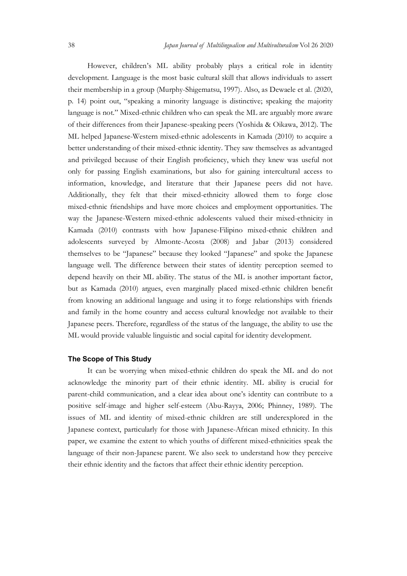Japan Journal of Multilingualism and Multivulturalism Vol 26 2020<br>However, children's ML ability probably plays a critical role in identity<br>development. Language is the most basic cultural skill that allows individuals to However, children's ML ability probably plays a critical role in identity development. Language is the most basic cultural skill that allows individuals to assert their membership in a group (Murphy-Shigematsu, 1997). Also, as Dewaele et al. (2020, p. 14) point out, "speaking a minority language is distinctive; speaking the majority language is not." Mixed-ethnic children who can speak the ML are arguably more aware of their differences from their Japanese-speaking peers (Yoshida & Oikawa, 2012). The ML helped Japanese-Western mixed-ethnic adolescents in Kamada (2010) to acquire a better understanding of their mixed-ethnic identity. They saw themselves as advantaged and privileged because of their English proficiency, which they knew was useful not only for passing English examinations, but also for gaining intercultural access to information, knowledge, and literature that their Japanese peers did not have. Additionally, they felt that their mixed-ethnicity allowed them to forge close mixed-ethnic friendships and have more choices and employment opportunities. The way the Japanese-Western mixed-ethnic adolescents valued their mixed-ethnicity in Kamada (2010) contrasts with how Japanese-Filipino mixed-ethnic children and adolescents surveyed by Almonte-Acosta (2008) and Jabar (2013) considered themselves to be "Japanese" because they looked "Japanese" and spoke the Japanese language well. The difference between their states of identity perception seemed to depend heavily on their ML ability. The status of the ML is another important factor, but as Kamada (2010) argues, even marginally placed mixed-ethnic children benefit from knowing an additional language and using it to forge relationships with friends and family in the home country and access cultural knowledge not available to their Japanese peers. Therefore, regardless of the status of the language, the ability to use the ML would provide valuable linguistic and social capital for identity development.

### The Scope of This Study

It can be worrying when mixed-ethnic children do speak the ML and do not acknowledge the minority part of their ethnic identity. ML ability is crucial for parent-child communication, and a clear idea about one's identity can contribute to a positive self-image and higher self-esteem (Abu-Rayya, 2006; Phinney, 1989). The issues of ML and identity of mixed-ethnic children are still underexplored in the Japanese context, particularly for those with Japanese-African mixed ethnicity. In this paper, we examine the extent to which youths of different mixed-ethnicities speak the language of their non-Japanese parent. We also seek to understand how they perceive their ethnic identity and the factors that affect their ethnic identity perception.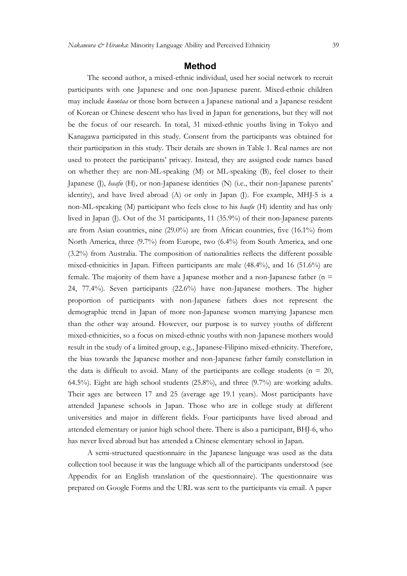### Method

The second author, a mixed-ethnic individual, used her social network to recruit participants with one Japanese and one non-Japanese parent. Mixed-ethnic children may include kuootaa or those born between a Japanese national and a Japanese resident of Korean or Chinese descent who has lived in Japan for generations, but they will not be the focus of our research. In total, 31 mixed-ethnic youths living in Tokyo and Kanagawa participated in this study. Consent from the participants was obtained for their participation in this study. Their details are shown in Table 1. Real names are not used to protect the participants' privacy. Instead, they are assigned code names based on whether they are non-ML-speaking (M) or ML-speaking (B), feel closer to their Japanese (J), haafu (H), or non-Japanese identities (N) (i.e., their non-Japanese parents' identity), and have lived abroad (A) or only in Japan (J). For example, MHJ-5 is a non-ML-speaking (M) participant who feels close to his haafu (H) identity and has only lived in Japan (J). Out of the 31 participants, 11 (35.9%) of their non-Japanese parents are from Asian countries, nine (29.0%) are from African countries, five (16.1%) from North America, three (9.7%) from Europe, two (6.4%) from South America, and one (3.2%) from Australia. The composition of nationalities reflects the different possible mixed-ethnicities in Japan. Fifteen participants are male (48.4%), and 16 (51.6%) are female. The majority of them have a Japanese mother and a non-Japanese father ( $n =$ 24, 77.4%). Seven participants (22.6%) have non-Japanese mothers. The higher proportion of participants with non-Japanese fathers does not represent the demographic trend in Japan of more non-Japanese women marrying Japanese men than the other way around. However, our purpose is to survey youths of different mixed-ethnicities, so a focus on mixed-ethnic youths with non-Japanese mothers would result in the study of a limited group, e.g., Japanese-Filipino mixed-ethnicity. Therefore, the bias towards the Japanese mother and non-Japanese father family constellation in the data is difficult to avoid. Many of the participants are college students ( $n = 20$ , 64.5%). Eight are high school students (25.8%), and three (9.7%) are working adults. Their ages are between 17 and 25 (average age 19.1 years). Most participants have attended Japanese schools in Japan. Those who are in college study at different universities and major in different fields. Four participants have lived abroad and attended elementary or junior high school there. There is also a participant, BHJ-6, who has never lived abroad but has attended a Chinese elementary school in Japan.

A semi-structured questionnaire in the Japanese language was used as the data collection tool because it was the language which all of the participants understood (see Appendix for an English translation of the questionnaire). The questionnaire was prepared on Google Forms and the URL was sent to the participants via email. A paper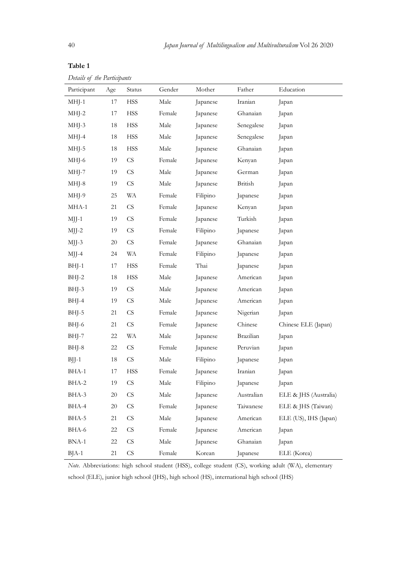| 40                          |        |                            |            |          |            | Japan Journal of Multilingualism and Multivulturalism Vol 26 2020 |
|-----------------------------|--------|----------------------------|------------|----------|------------|-------------------------------------------------------------------|
| Table 1                     |        |                            |            |          |            |                                                                   |
| Details of the Participants |        |                            |            |          |            |                                                                   |
| Participant                 | Age    | Status                     | Gender     | Mother   | Father     | Education                                                         |
| $MHJ-1$                     | 17     | <b>HSS</b>                 | Male       | Japanese | Iranian    | Japan                                                             |
| $MHJ-2$                     | 17     | <b>HSS</b>                 | Female     | Japanese | Ghanaian   | Japan                                                             |
| MHJ-3                       | 18     | <b>HSS</b>                 | Male       | Japanese | Senegalese | Japan                                                             |
| MHJ-4                       | 18     | <b>HSS</b>                 | Male       | Japanese | Senegalese | Japan                                                             |
| MHJ-5                       | 18     | <b>HSS</b>                 | Male       | Japanese | Ghanaian   | Japan                                                             |
| MHJ-6                       | 19     | $\mathbb{C}\mathbf{S}$     | Female     | Japanese | Kenyan     | Japan                                                             |
| MHJ-7                       | 19     | $\mathop{\rm CS}\nolimits$ | Male       | Japanese | German     | Japan                                                             |
| MHJ-8                       | 19     | CS                         | Male       | Japanese | British    | Japan                                                             |
| MHJ-9                       | $25\,$ | <b>WA</b>                  | Female     | Filipino | Japanese   | Japan                                                             |
| MHA-1                       | 21     | ${\rm CS}$                 | Female     | Japanese | Kenyan     | Japan                                                             |
| $MJJ-1$                     | 19     | ${\rm CS}$                 | Female     | Japanese | Turkish    | Japan                                                             |
| MJJ-2                       | 19     | ${\rm CS}$                 | Female     | Filipino | Japanese   | Japan                                                             |
| MJJ-3                       | $20\,$ | $\mathop{\mbox{\rm CS}}$   | Female     | Japanese | Ghanaian   | Japan                                                             |
| MJJ-4                       | 24     | <b>WA</b>                  | Female     | Filipino | Japanese   | Japan                                                             |
| BHJ-1                       | 17     | <b>HSS</b>                 | Female     | Thai     | Japanese   | Japan                                                             |
| BHJ-2                       | 18     | <b>HSS</b>                 | Male       | Japanese | American   | Japan                                                             |
| BHJ-3                       | 19     | $\mathbb{C}\mathbf{S}$     | Male       | Japanese | American   | Japan                                                             |
| BHJ-4                       | 19     | ${\rm CS}$                 | Male       | Japanese | American   | Japan                                                             |
| BHJ-5                       | 21     | ${\rm CS}$                 | Female     | Japanese | Nigerian   | Japan                                                             |
| BHJ-6                       | 21     | $\mathop{\mbox{\rm CS}}$   | Female     | Japanese | Chinese    | Chinese ELE (Japan)                                               |
| BHJ-7                       | $22\,$ | <b>WA</b>                  | Male       | Japanese | Brazilian  | Japan                                                             |
| BHJ-8                       | $22\,$ | ${\rm CS}$                 | Female     | Japanese | Peruvian   | Japan                                                             |
| $BJJ-1$                     | $18\,$ | $\mathop{\mbox{\rm CS}}$   | Male       | Filipino | Japanese   | Japan                                                             |
| BHA-1                       | $17\,$ | <b>HSS</b>                 | Female     | Japanese | Iranian    | Japan                                                             |
| BHA-2                       | 19     | ${\rm CS}$                 | $\rm Male$ | Filipino | Japanese   | Japan                                                             |
| BHA-3                       | $20\,$ | ${\rm CS}$                 | Male       | Japanese | Australian | ELE & JHS (Australia)                                             |
| BHA-4                       | $20\,$ | ${\rm CS}$                 | Female     | Japanese | Taiwanese  | ELE & JHS (Taiwan)                                                |
| BHA-5                       | 21     | ${\rm CS}$                 | Male       | Japanese | American   | ELE (US), IHS (Japan)                                             |
| BHA-6                       | $22\,$ | ${\rm CS}$                 | Female     | Japanese | American   | Japan                                                             |
| $BNA-1$                     | $22\,$ | $\mathop{\mbox{\rm CS}}$   | Male       | Japanese | Ghanaian   | Japan                                                             |
| $BJA-1$                     | 21     | $\mathop{\mbox{\rm CS}}$   | Female     | Korean   | Japanese   | ELE (Korea)                                                       |

Note. Abbreviations: high school student (HSS), college student (CS), working adult (WA), elementary school (ELE), junior high school (JHS), high school (HS), international high school (IHS)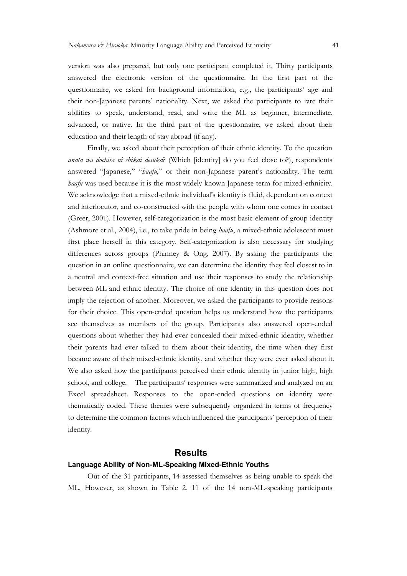version was also prepared, but only one participant completed it. Thirty participants answered the electronic version of the questionnaire. In the first part of the questionnaire, we asked for background information, e.g., the participants' age and their non-Japanese parents' nationality. Next, we asked the participants to rate their abilities to speak, understand, read, and write the ML as beginner, intermediate, advanced, or native. In the third part of the questionnaire, we asked about their education and their length of stay abroad (if any).

Finally, we asked about their perception of their ethnic identity. To the question anata wa dochira ni chikai desuka? (Which [identity] do you feel close to?), respondents answered "Japanese," "*haafu*," or their non-Japanese parent's nationality. The term haafu was used because it is the most widely known Japanese term for mixed-ethnicity. We acknowledge that a mixed-ethnic individual's identity is fluid, dependent on context and interlocutor, and co-constructed with the people with whom one comes in contact (Greer, 2001). However, self-categorization is the most basic element of group identity (Ashmore et al., 2004), i.e., to take pride in being  $\text{baafu}$ , a mixed-ethnic adolescent must first place herself in this category. Self-categorization is also necessary for studying differences across groups (Phinney & Ong, 2007). By asking the participants the question in an online questionnaire, we can determine the identity they feel closest to in a neutral and context-free situation and use their responses to study the relationship between ML and ethnic identity. The choice of one identity in this question does not imply the rejection of another. Moreover, we asked the participants to provide reasons for their choice. This open-ended question helps us understand how the participants see themselves as members of the group. Participants also answered open-ended questions about whether they had ever concealed their mixed-ethnic identity, whether their parents had ever talked to them about their identity, the time when they first became aware of their mixed-ethnic identity, and whether they were ever asked about it. We also asked how the participants perceived their ethnic identity in junior high, high school, and college. The participants' responses were summarized and analyzed on an Excel spreadsheet. Responses to the open-ended questions on identity were thematically coded. These themes were subsequently organized in terms of frequency to determine the common factors which influenced the participants' perception of their identity. eir choice. This open-ended question helps us understand how the participants<br>emselves as members of the group. Participants also answered open-ended<br>ons about whether they had ever concealed their mixed-ethnic identity, w

### **Results**

### Language Ability of Non-ML-Speaking Mixed-Ethnic Youths

ML. However, as shown in Table 2, 11 of the 14 non-ML-speaking participants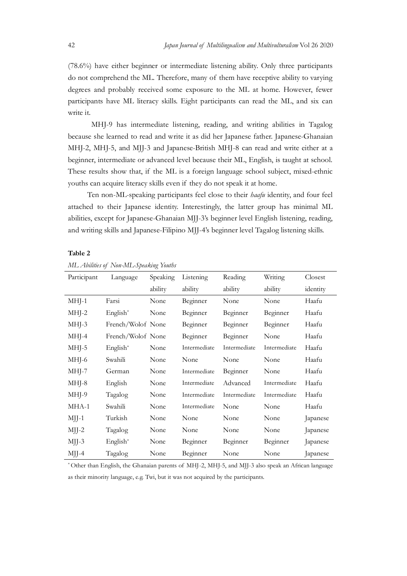Japan Journal of Multilingualism and Multivulturalism Vol 26 2020<br>(78.6%) have either beginner or intermediate listening ability. Only three participants<br>do not comprehend the ML. Therefore, many of them have receptive abi (78.6%) have either beginner or intermediate listening ability. Only three participants do not comprehend the ML. Therefore, many of them have receptive ability to varying degrees and probably received some exposure to the ML at home. However, fewer participants have ML literacy skills. Eight participants can read the ML, and six can write it.

MHJ-9 has intermediate listening, reading, and writing abilities in Tagalog because she learned to read and write it as did her Japanese father. Japanese-Ghanaian MHJ-2, MHJ-5, and MJJ-3 and Japanese-British MHJ-8 can read and write either at a beginner, intermediate or advanced level because their ML, English, is taught at school. These results show that, if the ML is a foreign language school subject, mixed-ethnic *Japan Jaurnal of Multilingualism and Multirulturalium* Vol 26 2020<br>(78.6%) have either beginner or intermediate listening ability. Only three participants<br>do not comprehend the ML Therefore, many of them have receptive ab participants have ML literacy skills. Eight participants can read the ML, and six can<br>write it.<br>MIIJ-9 has intermediate listening, reading, and writing abilities in Tagalog<br>because she learned to read and write it as did h

Ten non-ML-speaking participants feel close to their *haafu* identity, and four feel attached to their Japanese identity. Interestingly, the latter group has minimal ML abilities, except for Japanese-Ghanaian MJJ-3's beginner level English listening, reading, and writing skills and Japanese-Filipino MJJ-4's beginner level Tagalog listening skills.

Table 2

| Participant | Language                                                                                             | Speaking | Listening    | Reading      | Writing      | Closest  |
|-------------|------------------------------------------------------------------------------------------------------|----------|--------------|--------------|--------------|----------|
|             |                                                                                                      | ability  | ability      | ability      | ability      | identity |
| $MHJ-1$     | Farsi                                                                                                | None     | Beginner     | None         | None         | Haafu    |
| $MHJ-2$     | English*                                                                                             | None     | Beginner     | Beginner     | Beginner     | Haafu    |
| $MHJ-3$     | French/Wolof None                                                                                    |          | Beginner     | Beginner     | Beginner     | Haafu    |
| MHJ-4       | French/Wolof None                                                                                    |          | Beginner     | Beginner     | None         | Haafu    |
| $MHJ-5$     | English*                                                                                             | None     | Intermediate | Intermediate | Intermediate | Haafu    |
| MHJ-6       | Swahili                                                                                              | None     | None         | None         | None         | Haafu    |
| MHJ-7       | German                                                                                               | None     | Intermediate | Beginner     | None         | Haafu    |
| MHJ-8       | English                                                                                              | None     | Intermediate | Advanced     | Intermediate | Haafu    |
| MHJ-9       | Tagalog                                                                                              | None     | Intermediate | Intermediate | Intermediate | Haafu    |
| MHA-1       | Swahili                                                                                              | None     | Intermediate | None         | None         | Haafu    |
| $MJ$ -1     | Turkish                                                                                              | None     | None         | None         | None         | Japanese |
| $MJJ-2$     | Tagalog                                                                                              | None     | None         | None         | None         | Japanese |
| $MJ$ -3     | English*                                                                                             | None     | Beginner     | Beginner     | Beginner     | Japanese |
| $MJ$ -4     | Tagalog                                                                                              | None     | Beginner     | None         | None         | Japanese |
|             | * Other than English, the Ghanaian parents of MHJ-2, MHJ-5, and MJJ-3 also speak an African language |          |              |              |              |          |
|             | as their minority language, e.g. Twi, but it was not acquired by the participants.                   |          |              |              |              |          |
|             |                                                                                                      |          |              |              |              |          |
|             |                                                                                                      |          |              |              |              |          |
|             |                                                                                                      |          |              |              |              |          |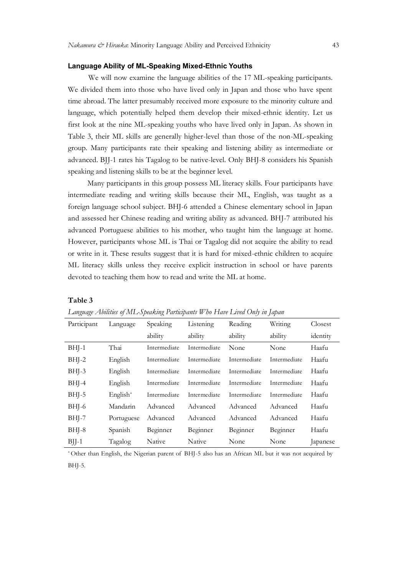### Language Ability of ML-Speaking Mixed-Ethnic Youths

We will now examine the language abilities of the 17 ML-speaking participants. We divided them into those who have lived only in Japan and those who have spent time abroad. The latter presumably received more exposure to the minority culture and language, which potentially helped them develop their mixed-ethnic identity. Let us first look at the nine ML-speaking youths who have lived only in Japan. As shown in Table 3, their ML skills are generally higher-level than those of the non-ML-speaking group. Many participants rate their speaking and listening ability as intermediate or advanced. BJJ-1 rates his Tagalog to be native-level. Only BHJ-8 considers his Spanish speaking and listening skills to be at the beginner level.

Many participants in this group possess ML literacy skills. Four participants have intermediate reading and writing skills because their ML, English, was taught as a foreign language school subject. BHJ-6 attended a Chinese elementary school in Japan and assessed her Chinese reading and writing ability as advanced. BHJ-7 attributed his advanced Portuguese abilities to his mother, who taught him the language at home. However, participants whose ML is Thai or Tagalog did not acquire the ability to read or write in it. These results suggest that it is hard for mixed-ethnic children to acquire ML literacy skills unless they receive explicit instruction in school or have parents devoted to teaching them how to read and write the ML at home.

### Table 3

| Language Abilities of ML-Speaking Participants Who Have Lived Only in Japan |  |  |  |
|-----------------------------------------------------------------------------|--|--|--|
|                                                                             |  |  |  |

| Participant |            | Speaking     | Listening    | Language Abilities of ML-Speaking Participants Who Have Lived Only in Japan<br>Reading              | Writing      | Closest  |
|-------------|------------|--------------|--------------|-----------------------------------------------------------------------------------------------------|--------------|----------|
|             | Language   |              |              |                                                                                                     |              |          |
|             |            | ability      | ability      | ability                                                                                             | ability      | identity |
| $BHJ-1$     | Thai       | Intermediate | Intermediate | None                                                                                                | None         | Haafu    |
| $BHJ-2$     | English    | Intermediate | Intermediate | Intermediate                                                                                        | Intermediate | Haafu    |
| $BHJ-3$     | English    | Intermediate | Intermediate | Intermediate                                                                                        | Intermediate | Haafu    |
| $BHJ-4$     | English    | Intermediate | Intermediate | Intermediate                                                                                        | Intermediate | Haafu    |
| $BHJ-5$     | English*   | Intermediate | Intermediate | Intermediate                                                                                        | Intermediate | Haafu    |
| $BHJ-6$     | Mandarin   | Advanced     | Advanced     | Advanced                                                                                            | Advanced     | Haafu    |
| $BHJ-7$     | Portuguese | Advanced     | Advanced     | Advanced                                                                                            | Advanced     | Haafu    |
| $BHJ-8$     | Spanish    | Beginner     | Beginner     | Beginner                                                                                            | Beginner     | Haafu    |
| $B$ JJ-1    | Tagalog    | Native       | Native       | None                                                                                                | None         | Japanese |
|             |            |              |              | *Other than English, the Nigerian parent of BHJ-5 also has an African ML but it was not acquired by |              |          |
| BHJ-5.      |            |              |              |                                                                                                     |              |          |
|             |            |              |              |                                                                                                     |              |          |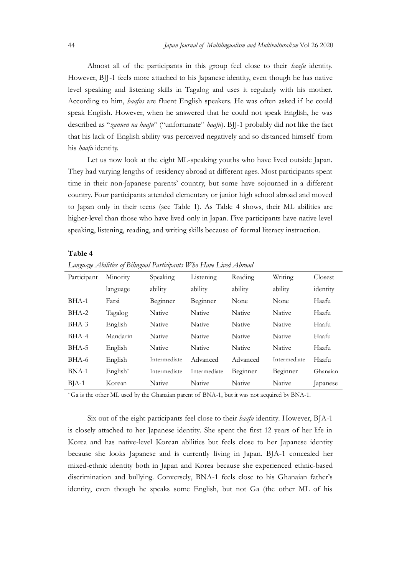Japan Journal of Multilingualism and Multivulturalism Vol 26 2020<br>Almost all of the participants in this group feel close to their *baafu* identity.<br>However, BJJ-1 feels more attached to his Japanese identity, even though Almost all of the participants in this group feel close to their *haafu* identity. However, BJJ-1 feels more attached to his Japanese identity, even though he has native level speaking and listening skills in Tagalog and uses it regularly with his mother. Japan Journal of Multilingualism and Multirulturalism Vol 26 2020<br>Almost all of the participants in this group feel close to their *haafu* identity.<br>However, BJJ-1 feels more attached to his Japanese identity, even though speak English. However, when he answered that he could not speak English, he was described as "zannen na haafu" ("unfortunate" haafu). BJJ-1 probably did not like the fact *Amost all of the participants in this group feel close to their bagfu identity.*<br>However, BJJ-1 feels more attached to his Japanese identity, even though he has native<br>level speaking and listening skills in Tagalog and us his *haafu* identity. Almost all of the participants in this group feel close to their *hangi* identity.<br>However, BJJ-1 feels more attached to bii Japanese identity, even though he has native<br>level speaking and listening skills in Tagalog and u

Let us now look at the eight ML-speaking youths who have lived outside Japan. They had varying lengths of residency abroad at different ages. Most participants spent time in their non-Japanese parents' country, but some have sojourned in a different country. Four participants attended elementary or junior high school abroad and moved to Japan only in their teens (see Table 1). As Table 4 shows, their ML abilities are higher-level than those who have lived only in Japan. Five participants have native level

### Table 4

Language Abilities of Bilingual Participants Who Have Lived Abroad

| Participant | Minority   | Speaking     | Listening    | Reading  | Writing      | Closest  |
|-------------|------------|--------------|--------------|----------|--------------|----------|
|             | language   | ability      | ability      | ability  | ability      | identity |
| BHA-1       | Farsi      | Beginner     | Beginner     | None     | None         | Haafu    |
| BHA-2       | Tagalog    | Native       | Native       | Native   | Native       | Haafu    |
| BHA-3       | English    | Native       | Native       | Native   | Native       | Haafu    |
| BHA-4       | Mandarin   | Native       | Native       | Native   | Native       | Haafu    |
| BHA-5       | English    | Native       | Native       | Native   | Native       | Haafu    |
| BHA-6       | English    | Intermediate | Advanced     | Advanced | Intermediate | Haafu    |
| BNA-1       | $English*$ | Intermediate | Intermediate | Beginner | Beginner     | Ghanaian |
| $BJA-1$     | Korean     | Native       | Native       | Native   | Native       | Japanese |

\* Ga is the other ML used by the Ghanaian parent of BNA-1, but it was not acquired by BNA-1.

Six out of the eight participants feel close to their haafu identity. However, BJA-1 is closely attached to her Japanese identity. She spent the first 12 years of her life in Korea and has native-level Korean abilities but feels close to her Japanese identity because she looks Japanese and is currently living in Japan. BJA-1 concealed her mixed-ethnic identity both in Japan and Korea because she experienced ethnic-based discrimination and bullying. Conversely, BNA-1 feels close to his Ghanaian father's identity, even though he speaks some English, but not Ga (the other ML of his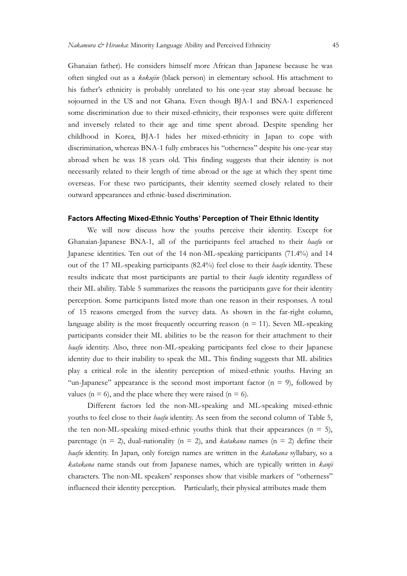Ghanaian father). He considers himself more African than Japanese because he was often singled out as a kokujin (black person) in elementary school. His attachment to his father's ethnicity is probably unrelated to his one-year stay abroad because he sojourned in the US and not Ghana. Even though BJA-1 and BNA-1 experienced some discrimination due to their mixed-ethnicity, their responses were quite different and inversely related to their age and time spent abroad. Despite spending her childhood in Korea, BJA-1 hides her mixed-ethnicity in Japan to cope with discrimination, whereas BNA-1 fully embraces his "otherness" despite his one-year stay abroad when he was 18 years old. This finding suggests that their identity is not necessarily related to their length of time abroad or the age at which they spent time overseas. For these two participants, their identity seemed closely related to their outward appearances and ethnic-based discrimination. sojourned in the US and not Ghana. Even though BJA-1 and BNA-1 experienced<br>some discrimination due to their mixed-ethnicity, their responses were quite different<br>and inversely related to their age and time spent abroad. De

### Factors Affecting Mixed-Ethnic Youths' Perception of Their Ethnic Identity

We will now discuss how the youths perceive their identity. Except for Ghanaian-Japanese BNA-1, all of the participants feel attached to their *haafu* or Japanese identities. Ten out of the 14 non-ML-speaking participants (71.4%) and 14 results indicate that most participants are partial to their haafu identity regardless of their ML ability. Table 5 summarizes the reasons the participants gave for their identity perception. Some participants listed more than one reason in their responses. A total discrimination, whereas BNA-1 fully embraces his "orberness" despite his one-year stay<br>abroad when he was 18 years old. This finding suggests that their identity is not<br>necessarily related to their length of time abroad or language ability is the most frequently occurring reason  $(n = 11)$ . Seven ML-speaking participants consider their ML abilities to be the reason for their attachment to their haafu identity. Also, three non-ML-speaking participants feel close to their Japanese identity due to their inability to speak the ML. This finding suggests that ML abilities **Factors Affecting Mixed-Ethnic Youths' Perception of Their Ethnic Identity<br>
We will now discuss how the youths perceive their identity. Except for<br>
Ghanaian-Japanese BNA-1, all of the participants feel attached to their** "un-Japanese" appearance is the second most important factor  $(n = 9)$ , followed by values ( $n = 6$ ), and the place where they were raised ( $n = 6$ ). Japanese identities. Ten out of the 14 non-ML-speaking participants (71.4%) and 14<br>out of the 17 ML-speaking participants (82.4%) feel close to their *haafu* identity: These<br>results indicate that most participants are par of 15 reasons emerged from the survey data. As shown in the far-right column, language ability is the most frequently occurring reason (n = 11). Seven ML-speaking participants on side, their markers of the reason for thei

Different factors led the non-ML-speaking and ML-speaking mixed-ethnic the ten non-ML-speaking mixed-ethnic youths think that their appearances ( $n = 5$ ), parentage ( $n = 2$ ), dual-nationality ( $n = 2$ ), and *katakana* names ( $n = 2$ ) define their haafu identity. In Japan, only foreign names are written in the katakana syllabary, so a katakana name stands out from Japanese names, which are typically written in kanji influenced their identity perception. Particularly, their physical attributes made them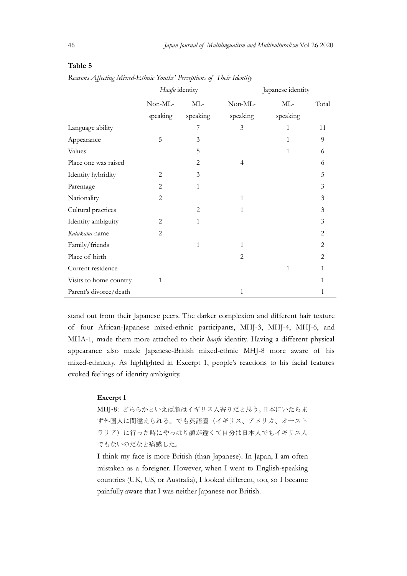| 46                                                                                         |                |                | Japan Journal of Multilingualism and Multivulturalism Vol 26 2020 |                   |                |  |
|--------------------------------------------------------------------------------------------|----------------|----------------|-------------------------------------------------------------------|-------------------|----------------|--|
| Table 5                                                                                    |                |                |                                                                   |                   |                |  |
| Reasons Affecting Mixed-Ethnic Youths' Perceptions of Their Identity                       |                |                |                                                                   |                   |                |  |
|                                                                                            | Haafu identity |                |                                                                   | Japanese identity |                |  |
|                                                                                            | Non-ML-        | ML-            | Non-ML-                                                           | $ML-$             | Total          |  |
|                                                                                            | speaking       | speaking       | speaking                                                          | speaking          |                |  |
| Language ability                                                                           |                | 7              | 3                                                                 | $\mathbf{1}$      | 11             |  |
| Appearance                                                                                 | 5              | $\mathfrak{Z}$ |                                                                   | 1                 | 9              |  |
| Values                                                                                     |                | 5              |                                                                   | 1                 | 6              |  |
| Place one was raised                                                                       |                | $\overline{2}$ | 4                                                                 |                   | 6              |  |
| Identity hybridity                                                                         | $\overline{c}$ | 3              |                                                                   |                   | 5              |  |
| Parentage                                                                                  | 2              | 1              |                                                                   |                   | 3              |  |
| Nationality                                                                                | 2              |                | 1                                                                 |                   | $\mathfrak{Z}$ |  |
| Cultural practices                                                                         |                | $\mathbf{2}$   | $\mathbf{1}$                                                      |                   | $\mathfrak{Z}$ |  |
| Identity ambiguity                                                                         | $\mathbf{2}$   | $\mathbf{1}$   |                                                                   |                   | $\mathfrak{Z}$ |  |
| Katakana name                                                                              | $\overline{c}$ |                |                                                                   |                   | 2              |  |
| Family/friends                                                                             |                | 1              | 1                                                                 |                   | 2              |  |
| Place of birth                                                                             |                |                | $\overline{c}$                                                    |                   | 2              |  |
| Current residence                                                                          |                |                |                                                                   | $\mathbf{1}$      |                |  |
| Visits to home country                                                                     | $\mathbf{1}$   |                |                                                                   |                   |                |  |
| Parent's divorce/death                                                                     |                |                | $\mathbf{1}$                                                      |                   | $\mathbf{1}$   |  |
|                                                                                            |                |                |                                                                   |                   |                |  |
| stand out from their Japanese peers. The darker complexion and different hair texture      |                |                |                                                                   |                   |                |  |
| of four African-Japanese mixed-ethnic participants, MHJ-3, MHJ-4, MHJ-6, and               |                |                |                                                                   |                   |                |  |
| MHA-1, made them more attached to their <i>haafu</i> identity. Having a different physical |                |                |                                                                   |                   |                |  |
| appearance also made Japanese-British mixed-ethnic MHJ-8 more aware of his                 |                |                |                                                                   |                   |                |  |
| mixed-ethnicity. As highlighted in Excerpt 1, people's reactions to his facial features    |                |                |                                                                   |                   |                |  |
| evoked feelings of identity ambiguity.                                                     |                |                |                                                                   |                   |                |  |
| Excerpt 1                                                                                  |                |                |                                                                   |                   |                |  |
|                                                                                            |                |                | MHJ-8: どちらかといえば顔はイギリス人寄りだと思う。日本にいたらま                              |                   |                |  |
|                                                                                            |                |                | ず外国人に間違えられる。でも英語圏(イギリス、アメリカ、オースト                                  |                   |                |  |
|                                                                                            |                |                |                                                                   |                   |                |  |

### Table 5

### Excerpt 1

MHJ-8: どちらかといえば顔はイギリス人寄りだと思う。日本にいたらま ず外国人に間違えられる。でも英語圏(イギリス、アメリカ、オースト ラリア)に行った時にやっぱり顔が違くて自分は日本人でもイギリス人 でもないのだなと痛感した。

I think my face is more British (than Japanese). In Japan, I am often mistaken as a foreigner. However, when I went to English-speaking countries (UK, US, or Australia), I looked different, too, so I became painfully aware that I was neither Japanese nor British.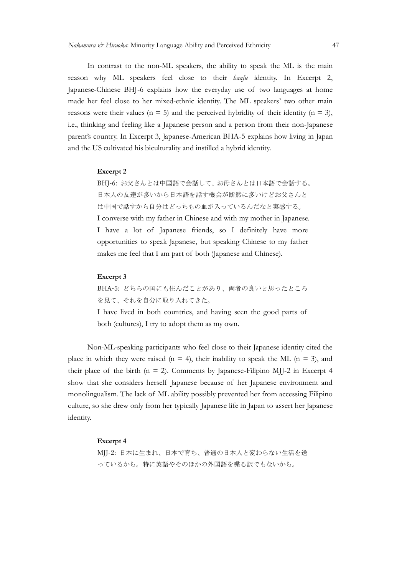In contrast to the non-ML speakers, the ability to speak the ML is the main reason why ML speakers feel close to their *haafu* identity. In Excerpt 2, Japanese-Chinese BHJ-6 explains how the everyday use of two languages at home made her feel close to her mixed-ethnic identity. The ML speakers' two other main reasons were their values ( $n = 5$ ) and the perceived hybridity of their identity ( $n = 3$ ), i.e., thinking and feeling like a Japanese person and a person from their non-Japanese parent's country. In Excerpt 3, Japanese-American BHA-5 explains how living in Japan and the US cultivated his biculturality and instilled a hybrid identity.

### Excerpt 2

BHJ-6: お父さんとは中国語で会話して、お母さんとは日本語で会話する。 日本人の友達が多いから日本語を話す機会が断然に多いけどお父さんと は中国で話すから自分はどっちもの血が入っているんだなと実感する。 I converse with my father in Chinese and with my mother in Japanese. I have a lot of Japanese friends, so I definitely have more opportunities to speak Japanese, but speaking Chinese to my father Chinese BHJ-6 explains how the everyday use of two languages at home<br>
feel close to her mixed-ethnic identity. The ML speakers' two other main<br>
impare their values ( $n = 5$ ) and the perceived hybridity of their identity<br> S cultivated his biculturality and instilled a hybrid identity.<br>
Excerpt 2<br>
BHJ-6: お父さんとは中国語で会話して、お母さんとは日本語で会話する。<br>
日本人の友達が多いから日本語を話す機会が断然に多いけどお父さんと<br>
は中国で話すから自分はどっちもの血が入っているんだなと実感する。<br>
I converse with my father in Chinese

### Excerpt 3

BHA-5: どちらの国にも住んだことがあり、両者の良いと思ったところ

both (cultures), I try to adopt them as my own.

Non-ML-speaking participants who feel close to their Japanese identity cited the place in which they were raised ( $n = 4$ ), their inability to speak the ML ( $n = 3$ ), and therm value of the birth (n = 2). Comments by Japanese. Filipino Mindle in the a lot of planese, but speaking so a 1 definitely have more opportunities to speak spanese, but speaking Chinese to my father makes me feel th I converse with my father in Chinese and with my mother in Japanese.<br>
1 have a lot of Japanese friends, so 1 definitely have more opportunities to speak Japanese, but speaking Chinese to my father makes me feel that I am I have a lot of Japanese friends, so I definitely have more<br>opportunities to speak Japanese, but speaking Chinese to my father<br>makes me feel that I am part of both (Japanese and Chinese).<br>Excerpt 3<br>BIIA-5:  $Z^256.90 \text{Id} \$ culture, so she drew only from her typically Japanese life in Japan to assert her Japanese identity.

### Excerpt 4

MJJ-2: 日本に生まれ、日本で育ち、普通の日本人と変わらない生活を送 っているから。特に英語やそのほかの外国語を喋る訳でもないから。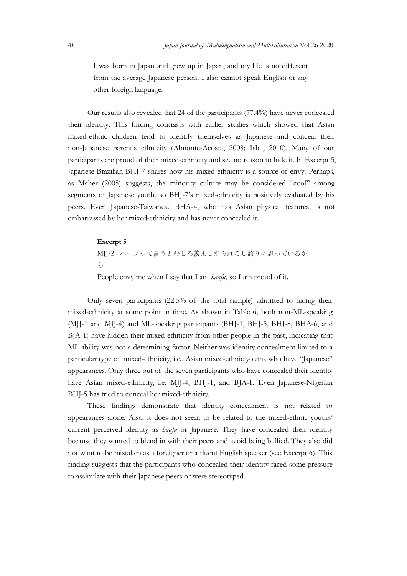Japan Journal of Multilingualism and Multivulturalism Vol 26 2020<br>I was born in Japan and grew up in Japan, and my life is no different<br>from the average Japanese person. I also cannot speak English or any<br>other foreign lan I was born in Japan and grew up in Japan, and my life is no different from the average Japanese person. I also cannot speak English or any other foreign language.

Our results also revealed that 24 of the participants (77.4%) have never concealed their identity. This finding contrasts with earlier studies which showed that Asian mixed-ethnic children tend to identify themselves as Japanese and conceal their non-Japanese parent's ethnicity (Almonte-Acosta, 2008; Ishii, 2010). Many of our participants are proud of their mixed-ethnicity and see no reason to hide it. In Excerpt 5, Japanese-Brazilian BHJ-7 shares how his mixed-ethnicity is a source of envy. Perhaps, as Maher (2005) suggests, the minority culture may be considered "cool" among segments of Japanese youth, so BHJ-7's mixed-ethnicity is positively evaluated by his peers. Even Japanese-Taiwanese BHA-4, who has Asian physical features, is not embarrassed by her mixed-ethnicity and has never concealed it. ethnic children tend to identify themselves as Japanese and conceal their<br>pantese parten's ethnicity (Almonte-Acosta, 2008; Ishii, 2010). Many of our<br>spants are proud of their mixed-ethnicity and see no reason to hide i

### Excerpt 5

MJJ-2: ハーフって言うとむしろ羨ましがられるし誇りに思っているか ら。

People envy me when I say that I am *haafu*, so I am proud of it.

mixed-ethnicity at some point in time. As shown in Table 6, both non-ML-speaking (MJJ-1 and MJJ-4) and ML-speaking participants (BHJ-1, BHJ-5, BHJ-8, BHA-6, and BJA-1) have hidden their mixed-ethnicity from other people in the past, indicating that ML ability was not a determining factor. Neither was identity concealment limited to a segments of Japanese youth, so BHJ-7's mixed-ethnicity is positively evaluated by his<br>peers. Even Japanese-Taiwanese BHA-4, who has Asian physical features, is not<br>embarrassed by her mixed-ethnicity and has never conceale appearances. Only three out of the seven participants who have concealed their identity have Asian mixed-ethnicity, i.e. MJJ-4, BHJ-1, and BJA-1. Even Japanese-Nigerian BHJ-5 has tried to conceal her mixed-ethnicity.

These findings demonstrate that identity concealment is not related to appearances alone. Also, it does not seem to be related to the mixed-ethnic youths' current perceived identity as *haafu* or Japanese. They have concealed their identity because they wanted to blend in with their peers and avoid being bullied. They also did not want to be mistaken as a foreigner or a fluent English speaker (see Excerpt 6). This finding suggests that the participants who concealed their identity faced some pressure to assimilate with their Japanese peers or were stereotyped.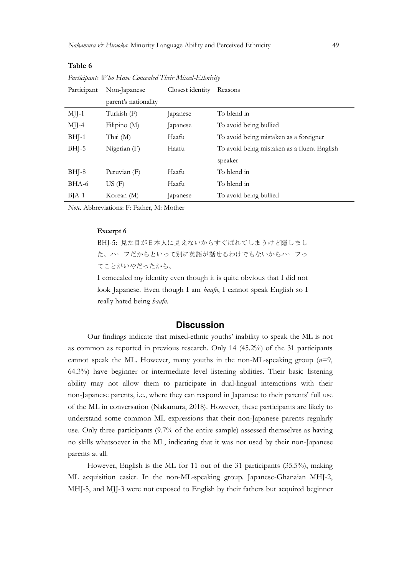## Participant Non-Japanese parent's nationality Closest identity Reasons MJJ-1 Turkish (F) Japanese To blend in MJJ-4 Filipino (M) Japanese To avoid being bullied BHJ-1 Thai (M) Haafu To avoid being mistaken as a foreigner BHJ-5 Nigerian (F) Haafu To avoid being mistaken as a fluent English speaker BHJ-8 Peruvian (F) Haafu To blend in BHA-6 US (F) Haafu To blend in BJA-1 Korean (M) Japanese To avoid being bullied

Participants Who Have Concealed Their Mixed-Ethnicity

Note. Abbreviations: F: Father, M: Mother

### Excerpt 6

Table 6

BHJ-5: 見た目が日本人に見えないからすぐばれてしまうけど隠しまし た。ハーフだからといって別に英語が話せるわけでもないからハーフっ てことがいやだったから。

I concealed my identity even though it is quite obvious that I did not look Japanese. Even though I am *haafu*, I cannot speak English so I really hated being *haafu*.

### **Discussion**

Our findings indicate that mixed-ethnic youths' inability to speak the ML is not as common as reported in previous research. Only 14 (45.2%) of the 31 participants cannot speak the ML. However, many youths in the non-ML-speaking group  $(n=9, 1)$ 64.3%) have beginner or intermediate level listening abilities. Their basic listening ability may not allow them to participate in dual-lingual interactions with their non-Japanese parents, i.e., where they can respond in Japanese to their parents' full use of the ML in conversation (Nakamura, 2018). However, these participants are likely to understand some common ML expressions that their non-Japanese parents regularly use. Only three participants (9.7% of the entire sample) assessed themselves as having no skills whatsoever in the ML, indicating that it was not used by their non-Japanese parents at all.

However, English is the ML for 11 out of the 31 participants (35.5%), making ML acquisition easier. In the non-ML-speaking group. Japanese-Ghanaian MHJ-2, MHJ-5, and MJJ-3 were not exposed to English by their fathers but acquired beginner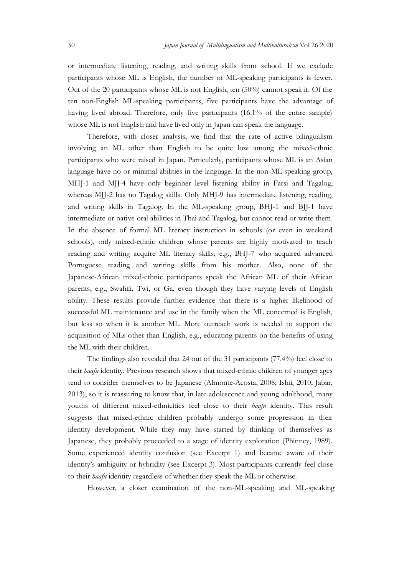Japan Journal of Multilingualism and Multivulturalism Vol 26 2020<br>
or intermediate listening, reading, and writing skills from school. If we exclude<br>
participants whose ML is English, the number of ML-speaking participants or intermediate listening, reading, and writing skills from school. If we exclude participants whose ML is English, the number of ML-speaking participants is fewer. Out of the 20 participants whose ML is not English, ten (50%) cannot speak it. Of the ten non-English ML-speaking participants, five participants have the advantage of having lived abroad. Therefore, only five participants (16.1% of the entire sample) whose ML is not English and have lived only in Japan can speak the language.

Therefore, with closer analysis, we find that the rate of active bilingualism involving an ML other than English to be quite low among the mixed-ethnic participants who were raised in Japan. Particularly, participants whose ML is an Asian language have no or minimal abilities in the language. In the non-ML-speaking group, MHJ-1 and MJJ-4 have only beginner level listening ability in Farsi and Tagalog, whereas MJJ-2 has no Tagalog skills. Only MHJ-9 has intermediate listening, reading, and writing skills in Tagalog. In the ML-speaking group, BHJ-1 and BJJ-1 have intermediate or native oral abilities in Thai and Tagalog, but cannot read or write them. In the absence of formal ML literacy instruction in schools (or even in weekend schools), only mixed-ethnic children whose parents are highly motivated to teach reading and writing acquire ML literacy skills, e.g., BHJ-7 who acquired advanced Portuguese reading and writing skills from his mother. Also, none of the Japanese-African mixed-ethnic participants speak the African ML of their African parents, e.g., Swahili, Twi, or Ga, even though they have varying levels of English ability. These results provide further evidence that there is a higher likelihood of successful ML maintenance and use in the family when the ML concerned is English, but less so when it is another ML. More outreach work is needed to support the acquisition of MLs other than English, e.g., educating parents on the benefits of using the ML with their children.

The findings also revealed that 24 out of the 31 participants (77.4%) feel close to their *haafu* identity. Previous research shows that mixed-ethnic children of younger ages tend to consider themselves to be Japanese (Almonte-Acosta, 2008; Ishii, 2010; Jabar, 2013), so it is reassuring to know that, in late adolescence and young adulthood, many youths of different mixed-ethnicities feel close to their haafu identity. This result suggests that mixed-ethnic children probably undergo some progression in their identity development. While they may have started by thinking of themselves as Japanese, they probably proceeded to a stage of identity exploration (Phinney, 1989). Some experienced identity confusion (see Excerpt 1) and became aware of their identity's ambiguity or hybridity (see Excerpt 3). Most participants currently feel close to their haafu identity regardless of whether they speak the ML or otherwise.

However, a closer examination of the non-ML-speaking and ML-speaking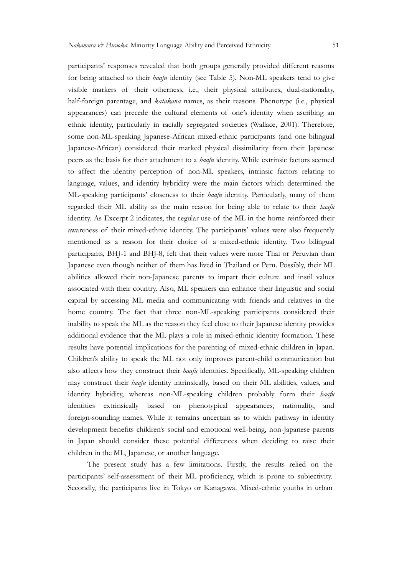participants' responses revealed that both groups generally provided different reasons for being attached to their haafu identity (see Table 5). Non-ML speakers tend to give visible markers of their otherness, i.e., their physical attributes, dual-nationality, half-foreign parentage, and katakana names, as their reasons. Phenotype (i.e., physical Nakamura & Hiranka. Minority Language Ability and Perceived Ethnicity 51<br>participants' responses revealed that both groups generally provided different reasons<br>for being attached to their *baafu* identity (see Table 5). No ethnic identity, particularly in racially segregated societies (Wallace, 2001). Therefore, some non-ML-speaking Japanese-African mixed-ethnic participants (and one bilingual Japanese-African) considered their marked physical dissimilarity from their Japanese peers as the basis for their attachment to a *haafu* identity. While extrinsic factors seemed to affect the identity perception of non-ML speakers, intrinsic factors relating to language, values, and identity hybridity were the main factors which determined the ML-speaking participants' closeness to their *haafu* identity. Particularly, many of them regarded their ML ability as the main reason for being able to relate to their  $\alpha$ identity. As Excerpt 2 indicates, the regular use of the ML in the home reinforced their awareness of their mixed-ethnic identity. The participants' values were also frequently for being attached to their *bashi* identity (see Table S). Non-ML speakers tend to give visible markes of their otheraness, i.e., their physical attributes, dual-rationality, bali-forcing parentage, and *katakana* names, participants, BHJ-1 and BHJ-8, felt that their values were more Thai or Peruvian than half-foreign parentage, and *katakana* names, as their reasons. Phenotype (i.e., physical appearances) can precede the cultural elements of one's identity when ascribing an profere, ethnic identity, particularly an raciall abilities allowed their non-Japanese parents to impart their culture and instil values associated with their country. Also, ML speakers can enhance their linguistic and social capital by accessing ML media and communicating with friends and relatives in the home country. The fact that three non-ML-speaking participants considered their inability to speak the ML as the reason they feel close to their Japanese identity provides additional evidence that the ML plays a role in mixed-ethnic identity formation. These language, values, and identity hybridity were the main factors which determined the ML-speaking particularis' closences to their *haughi* dentity. Particularly, many of them results decisions for being dietic reduction, ma Children's ability to speak the ML not only improves parent-child communication but also affects how they construct their *haafu* identities. Specifically, ML-speaking children may construct their haafu identity intrinsically, based on their ML abilities, values, and identity hybridity, whereas non-ML-speaking children probably form their *haafu* identities extrinsically based on phenotypical appearances, nationality, and foreign-sounding names. While it remains uncertain as to which pathway in identity development benefits children's social and emotional well-being, non-Japanese parents in Japan should consider these potential differences when deciding to raise their children in the ML, Japanese, or another language.

The present study has a few limitations. Firstly, the results relied on the participants' self-assessment of their ML proficiency, which is prone to subjectivity. Secondly, the participants live in Tokyo or Kanagawa. Mixed-ethnic youths in urban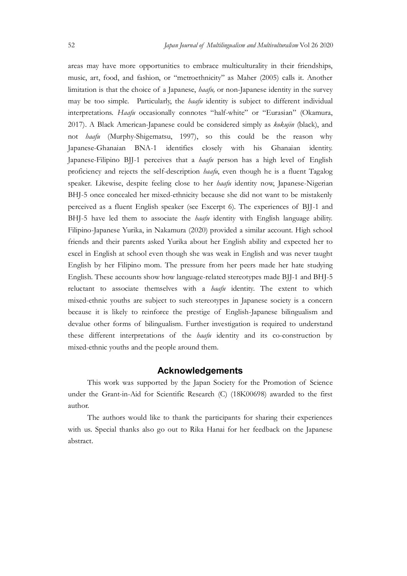Japan Journal of Multilingualism and Multivulturalism Vol 26 2020<br>areas may have more opportunities to embrace multiculturality in their friendships,<br>music, art, food, and fashion, or "metroethnicity" as Maher (2005) calls areas may have more opportunities to embrace multiculturality in their friendships, music, art, food, and fashion, or "metroethnicity" as Maher (2005) calls it. Another *S2*<br>*Japan Journal of Multilingualism and Multivulturalism* Vol 26 2020<br>areas may have more opportunities to embrace multiculturality in their friendships,<br>music, art, food, and fashion, or "metroethnicity" as Maher (2005 may be too simple. Particularly, the  $\text{baafu}$  identity is subject to different individual interpretations. Haafu occasionally connotes "half-white" or "Eurasian" (Okamura, 2017). A Black American-Japanese could be considered simply as kokujin (black), and not haafu (Murphy-Shigematsu, 1997), so this could be the reason why Japanese-Ghanaian BNA-1 identifies closely with his Ghanaian identity. Japanese-Filipino BJJ-1 perceives that a *haafu* person has a high level of English proficiency and rejects the self-description haafu, even though he is a fluent Tagalog speaker. Likewise, despite feeling close to her  $\text{baafu}$  identity now, Japanese-Nigerian BHJ-5 once concealed her mixed-ethnicity because she did not want to be mistakenly *S2 Japan Jawa Journal of Multilingualism and Multimalumilian* Vol 26 2020<br>arcas may have more opportunities to embrace multiculturality in their friendships,<br>music, art, food, and fashion, or "metroethnicity" as Maher BHJ-5 have led them to associate the *haafu* identity with English language ability. Filipino-Japanese Yurika, in Nakamura (2020) provided a similar account. High school friends and their parents asked Yurika about her English ability and expected her to excel in English at school even though she was weak in English and was never taught English by her Filipino mom. The pressure from her peers made her hate studying English. These accounts show how language-related stereotypes made BJJ-1 and BHJ-5 reluctant to associate themselves with a *haafu* identity. The extent to which mixed-ethnic youths are subject to such stereotypes in Japanese society is a concern because it is likely to reinforce the prestige of English-Japanese bilingualism and devalue other forms of bilingualism. Further investigation is required to understand these different interpretations of the *haafu* identity and its co-construction by mixed-ethnic youths and the people around them. have led them to associate the *haafjn* identity with English language ability.<br>  $o$ -Japanese Yurika, in Nakamura (2020) provided a similar account. High school<br>
and their parents asked Yurika about her English and its an

### Acknowledgements

under the Grant-in-Aid for Scientific Research (C) (18K00698) awarded to the first author.

The authors would like to thank the participants for sharing their experiences with us. Special thanks also go out to Rika Hanai for her feedback on the Japanese abstract.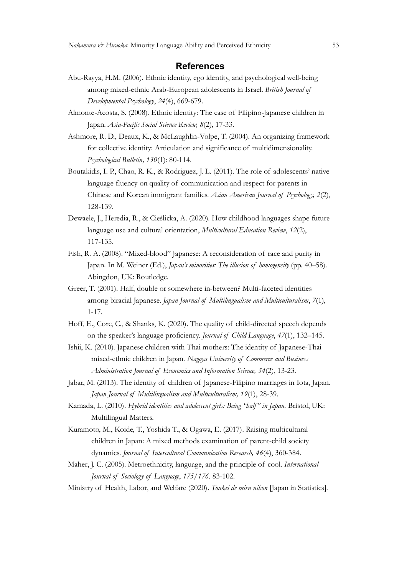### **References**

- Abu-Rayya, H.M. (2006). Ethnic identity, ego identity, and psychological well-being among mixed-ethnic Minority Language Ability and Perceived Ethnicity<br> **References**<br>
H.M. (2006). Ethnic identity, ego identity, and psychological well-being<br>
among mixed-ethnic Arab-European adolescents in Israel. *British* Developmental Psychology, 24(4), 669-679.
- Japan. Asia-Pacific Social Science Review, 8(2), 17-33.
- Nakamura & Hiranka. Minority Language Ability and Perceived Ethnicity<br> **References**<br>
Abu-Rayya, H.M. (2006). Ethnic identity, ego identity, and psychological well-being<br>
among mixed-ethnic Arab-European adolescents in Isra Ashmore, R. D., Deaux, K., & McLaughlin-Volpe, T. (2004). An organizing framework for collective identity: Articulation and significance of multidimensionality. Psychological Bulletin, 130(1): 80-114.
- Nukamura & Hinnoka: Minority Language Ability and Perceived Ethnicity 553<br> **References**<br>
Abu-Rayya, H.M. (2006). Ethnic identity, ego identity, and psychological well-being<br>
among mixed-ethnic Arab-European adolescents in *language Ability* and Perceived Ethnicity 55<br> **References**<br>
Language Ability and psychological well-being<br>
among mixed-ethnic Arab-European adolescents in Israel. *British Journal of*<br> *Developmental Pygchology*, 24(4), 6 *IF Hinska*: Minority Tangunge Ability and Perceived Ethnicticy 55<br> **References**<br>
Sayya, H.M. (2006). Ethnic identity, ego identity, and psychological well-being<br>
among mixed-ethnic Arab-European adolescents in Israel. *Br* 128-139. Developmental Prychology, 24(4), 669-679.<br>
Ilepan. *Asia-Parya, S2*), Ethnic identity: The case of Filipino-Japanese children in<br>
Japan. *Asia-Parya, S2*), 17-33.<br>
Japan. *Asia-Parya, Sc., & Metaughlin*-Volpe, T. (2004). A berg, R. D., Deaux, K., & McLaughlin-Volpe, T. (2004). An organizing framework<br>
for collective identity: Articulation and significance of multidimensionality.<br>
Prydologial Bulleim, 130(1): 80-114.<br>
dids, I. P., Chao, R. K. *Psychological Bulletin, 130*(1): 80-114.<br>
Boutakidis, I. P., Chao, R. K., & Rodriguez, J. L. (2011). The role of adolescents' native<br>
language fluency on quality of communication and respect for parents in<br>
Chinese and K iclis, I. P., Chao, R. K., & Rodríguez, J. L. (2011). The role of adolescents' native<br>language fluency on quality of communication and respect for parents in<br>Chinese and Korean immigrant families. *Atian American Journal o*
- Dewaele, J., Heredia, R., & Cieślicka, A. (2020). How childhood languages shape future language use and cultural orientation, Multicultural Education Review, 12(2), 117-135. Thinese and Korean immigrant families. *Asian American Journal of Psychology*, 2(2), 28-139.<br>
28. J, Heredia, R., & Cieslicka, A. (2020). How childhood languages shape future<br>
anguage use and cultural orientation, *Multicu* 28-139.<br>
28-139.<br>
E<sub>6</sub>, J., Heredia, R., & Cieslicka, A. (2020). How childhood languages shape future<br>
mguage use and cultural orientation, *Multitultural Education Review*, 12(2),<br>
17-155.<br>
A. (2008). "Mixed-blood" Japans Dewack, J., Heredia, R., & Gieslicka, A. (2020). How childhood languages shape future<br>
hargonge use and cultural orientation, *Multitaltural Education Review*, 12(2),<br>
117-135.<br>
This R. A. (2008). "Mixed-blood" Japanese:
- Fish, R. A. (2008). "Mixed-blood" Japanese: A reconsideration of race and purity in Abingdon, UK: Routledge. mguage use and cultural orientation, *Multicultural Education Review*, 12(2),<br>17-135.<br>A. (2008). "Mised-blood" Japanese: A reconsideration of race and purity in<br>pan. In M. Weiner (Ed.), *Japan's minorities: The illusion of*
- Greer, T. (2001). Half, double or somewhere in-between? Multi-faceted identities 1-17. I. (2001). Half, double or somewhere in-between? Multi-faceted identities<br>mong biracial Japanese. *Japan Journal of MultiIngualism and Multiculturalism*, 7(1),<br>-17.<br>Ore, C., & Shanks, K. (2020). The quality of child-direc
- 
- Ishii, K. (2010). Japanese children with Thai mothers: The identity of Japanese-Thai among birncial Japanese. *Japan* Journal of Multilingualism and Multiculturalism, 7(1), 11-7.<br>
1161f, E., Core, C., & Shanks, K. (2020). The quality of child-directed speech depends<br>
con the speaker's language proficiency 17.<br>
17. Core, C., & Shanks, K. (2020). The quality of child-directed speech depends<br>
10. the peaker's language proficiency. *Journal of Ghild Language*, 47(1), 132–145.<br>
176. (2010). Japanese children with Thai mothers: T Hoff, E., Core, C., & Shanks, K. (2020). The quality of child-directed speech depends<br>on the speaker's language proficiency. *Journal of Child Language*, 47(1), 132–145.<br>Ishii, K. (2010). Japanese children with Thai mothe
- 
- Kamada, L. (2010). Hybrid identities and adolescent girls: Being "half" in Japan. Bristol, UK: Multilingual Matters.
- Kuramoto, M., Koide, T., Yoshida T., & Ogawa, E. (2017). Raising multicultural children in Japan: A mixed methods examination of parent-child society
- 
-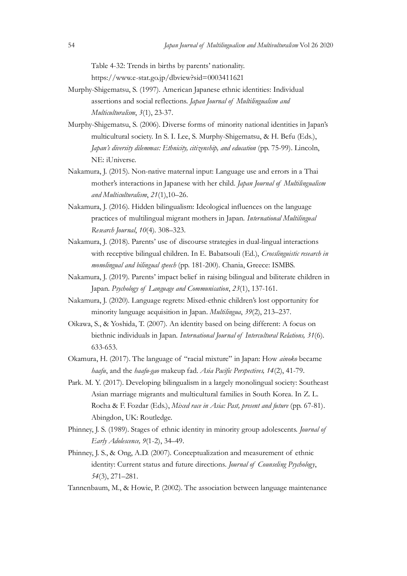Table 4-32: Trends in births by parents' nationality. https://www.e-stat.go.jp/dbview?sid=0003411621

- Japan Journal of Multilingualism and Multivulturalism Vol 26 2020<br>Table 4-32: Trends in births by parents' nationality.<br>https://www.e-stat.go.jp/dbview?sid=0003411621<br>Murphy-Shigematsu, S. (1997). American Japanese ethnic Murphy-Shigematsu, S. (1997). American Japanese ethnic identities: Individual Multiculturalism, 3(1), 23-37.
- Japan Journal of Multilingualism and Multinulturalism Vol 26 2020<br>Table 4-32: Trends in births by parents' nationality.<br>
https://www.e-stat.go.jp/dbview?sid=0003411621<br>
-Shigematsu, S. (1997). American Japanese ethnic iden Japan Journal of Multilingualism and Multivulturalism Vol 26 2020<br>
Table 4-32: Trends in births by parents' nationality.<br>
https://www.e-stat.go.jp/dbview?sid=0003411621<br>
Murphy-Shigematsu, S. (1997). American Japanese ethn multicultural society. In S. I. Lee, S. Murphy-Shigematsu, & H. Befu (Eds.), Japan's diversity dilemmas: Ethnicity, citizenship, and education (pp. 75-99). Lincoln, NE: iUniverse. Japan Journal of Multilingualism and Multivulturalism Vol 26 2020<br>
Table 4-32: Trends in births by parents' nationality.<br>
https://www.c-stat.go.jp/dlvicw?sid=0003411621<br>
-Shigematsu, S. (1997). American Japanese ethnic ide -Shigematsu, S. (2006). Diverse forms of minority national identities in Japan's<br>multicultural society. In S. I. Lee, S. Murphy-Shigematsu, & H. Befu (Eds.),<br> *Mexi i* diversity dilemmas: *Ethnicity, etizganship, and educa*
- Nakamura, J. (2015). Non-native maternal input: Language use and errors in a Thai and Multiculturalism, 21(1),10–26.
- Nakamura, J. (2016). Hidden bilingualism: Ideological influences on the language practices of multilingual migrant mothers in Japan. International Multilingual Research Journal, 10(4). 308–323.
- Nakamura, J. (2018). Parents' use of discourse strategies in dual-lingual interactions with receptive bilingual children. In E. Babatsouli (Ed.), Crosslinguistic research in monolingual and bilingual speech (pp. 181-200). Chania, Greece: ISMBS. ara, J. (2015). Non-native maternal input: Language use and errors in a Thai<br>moother's internations in Japanese with her child. *Japan Journal of Multilingualism*<br>and Multiarlaunism, 21(1), 10–26.<br>ara, J. (2016). Hidden bi
- Nakamura, J. (2019). Parents' impact belief in raising bilingual and biliterate children in
- Nakamura, J. (2020). Language regrets: Mixed-ethnic children's lost opportunity for minority language acquisition in Japan. *Multilingua*, 39(2), 213–237.
- Oikawa, S., & Yoshida, T. (2007). An identity based on being different: A focus on 633-653.
- Okamura, H. (2017). The language of "racial mixture" in Japan: How ainoko became haafu, and the haafu-gao makeup fad. Asia Pacific Perspectives, 14(2), 41-79.
- Park. M. Y. (2017). Developing bilingualism in a largely monolingual society: Southeast Asian marriage migrants and multicultural families in South Korea. In Z. L. Rocha & F. Fozdar (Eds.), Mixed race in Asia: Past, present and future (pp. 67-81). Abingdon, UK: Routledge. *mondingual and bilingual speeds* (pp. 181-200). Chania, Greece: ISMBS.<br>
Nakamura, J. (2010). Parents' impact belief in raising bilingual and bilinetate children in<br>
J. S. (2099). J. Stages of Longwage and Communication, Japan. *Pygbology of Language and Communication*, 23(1), 137-161.<br>
Nakamunt, J. (2020). Language respects: Mixed-ethnic childrench lost or<br>
proportunity for<br>
minority language acquisition in Japan. *Multilingua, 39*(2), 2 ira, J. (2020). Language regrests: Mixed-ethnic children's lost opportunity for<br>minority language acquisition in Japan. *Alultilingua*, 39(2), 213–237.<br>S., S. & Yoshida, T. (2007). An identity based on being different: A f
- Early Adolescence, 9(1-2), 34–49.
- 
- Tannenbaum, M., & Howie, P. (2002). The association between language maintenance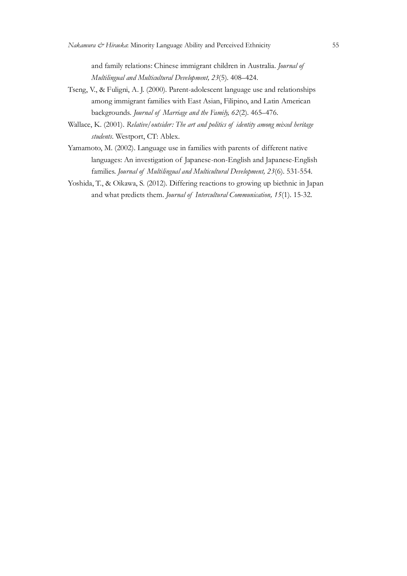Multilingual and Multicultural Development, 23(5). 408–424.

- Firance Minority Language Ability and Perceived Ethnicity<br>and family relations: Chinese immigrant children in Australia. *Journal of*<br>Multilingual and Multicultural Development, 23(5). 408–424.<br>V., & Fuligni, A. J. (2000). Tseng, V., & Fuligni, A. J. (2000). Parent-adolescent language use and relationships among immigrant families with East Asian, Filipino, and Latin American *na & Hiraoka*: Minority Language Ability and Perceived Ethnicity<br>
55<br>
and family relations: Chinese immigrant children in Australia. Journal of<br> *Multilingual and Multicultural Development*, 23(5). 408–424.<br> *V.* & Fulign Nakamura & Hiranka: Minority Language Ability and Perceived Ethnicity<br>
and family relations: Chinese immigrant children in Australia. Journal of<br>
Multilingual and Multioultural Development, 23(5). 408–424.<br>
Tseng, V., & Fu Nukumura & Hirauka: Minority Language Ability and Perceived Ethnicity<br>
and family relations: Chinese immigrant children in Australia. *Journal of*<br> *Multilingual and Multicultural Development*, 23(5). 408–424.<br>
Tseng, V., Family relations: Chinese immigrant children in Australia. *Journal of*<br>Andrilingual and Multicultural Development, 23(5). 408–424.<br>V., & Fuligni, A. J. (2000). Parent-adolescent language use and relationships<br>among immig For  $\dot{\infty}$  Hiranka: Minority Language Ability and Perceived Ethnicity 55<br>and family relations: Chinese immigrant children in Australia. Journal of<br>Multilingual and Multicultural Development, 23(5). 408–424.<br>V., & Fulign
- students. Westport, CT: Ablex.
- languages: An investigation of Japanese-non-English and Japanese-English
- Yoshida, T., & Oikawa, S. (2012). Differing reactions to growing up biethnic in Japan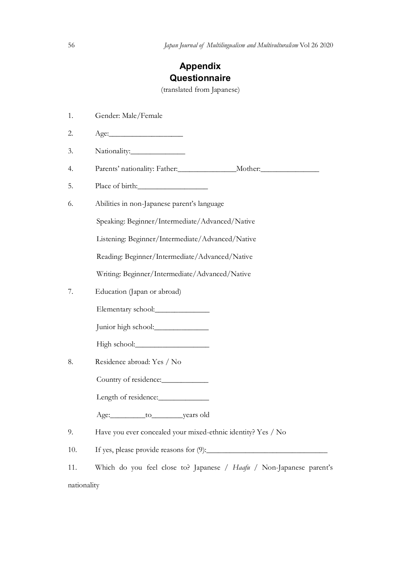# Japan Journal of Multilingualism and Multivulturalism Vol 26 2020<br> **Appendix<br>
Questionnaire**<br>
(translated from Japanese) Appendix **Questionnaire**

(translated from Japanese)

1. Gender: Male/Female 2. Age:\_\_\_\_\_\_\_\_\_\_\_\_\_\_\_\_\_\_\_ 3. Nationality: 4. Parents' nationality: Father: Mother: Mother: 5. Place of birth:\_\_\_\_\_\_\_\_\_\_\_\_\_\_\_\_\_\_ 6. Abilities in non-Japanese parent's language Speaking: Beginner/Intermediate/Advanced/Native Listening: Beginner/Intermediate/Advanced/Native Reading: Beginner/Intermediate/Advanced/Native Writing: Beginner/Intermediate/Advanced/Native 7. Education (Japan or abroad) Elementary school:\_\_\_\_\_\_\_\_\_\_\_\_\_\_ Junior high school:\_\_\_\_\_\_\_\_\_\_\_\_\_\_ High school:\_\_\_\_\_\_\_\_\_\_\_\_\_\_\_\_\_\_\_ 8. Residence abroad: Yes / No Country of residence: Length of residence:\_\_\_\_\_\_\_\_\_\_\_\_\_ Age:
<u>\_\_\_\_\_\_\_\_\_\_to
\_\_\_\_\_\_\_\_years old</u> 9. Have you ever concealed your mixed-ethnic identity? Yes / No 10. If yes, please provide reasons for  $(9)$ : 11. Which do you feel close to? Japanese / Haafu / Non-Japanese parent's nationality